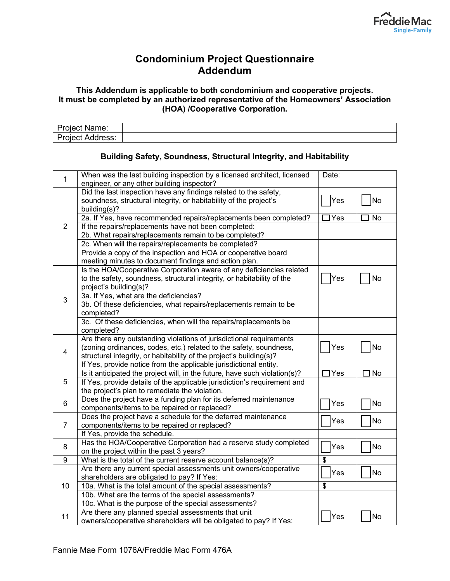

## **Condominium Project Questionnaire Addendum**

## **This Addendum is applicable to both condominium and cooperative projects. It must be completed by an authorized representative of the Homeowners' Association (HOA) /Cooperative Corporation.**

| . . |  |
|-----|--|
|     |  |

## **Building Safety, Soundness, Structural Integrity, and Habitability**

| $\mathbf{1}$    | When was the last building inspection by a licensed architect, licensed<br>engineer, or any other building inspector?                                 | Date:                     |           |
|-----------------|-------------------------------------------------------------------------------------------------------------------------------------------------------|---------------------------|-----------|
| $\overline{2}$  | Did the last inspection have any findings related to the safety,<br>soundness, structural integrity, or habitability of the project's<br>building(s)? | Yes                       | No        |
|                 | 2a. If Yes, have recommended repairs/replacements been completed?                                                                                     | $\exists$ Yes             | No        |
|                 | If the repairs/replacements have not been completed:                                                                                                  |                           |           |
|                 | 2b. What repairs/replacements remain to be completed?                                                                                                 |                           |           |
|                 | 2c. When will the repairs/replacements be completed?                                                                                                  |                           |           |
|                 | Provide a copy of the inspection and HOA or cooperative board                                                                                         |                           |           |
|                 | meeting minutes to document findings and action plan.                                                                                                 |                           |           |
|                 | Is the HOA/Cooperative Corporation aware of any deficiencies related                                                                                  |                           |           |
|                 | to the safety, soundness, structural integrity, or habitability of the                                                                                | Yes                       | No        |
|                 | project's building(s)?                                                                                                                                |                           |           |
| 3               | 3a. If Yes, what are the deficiencies?                                                                                                                |                           |           |
|                 | 3b. Of these deficiencies, what repairs/replacements remain to be                                                                                     |                           |           |
|                 | completed?                                                                                                                                            |                           |           |
|                 | 3c. Of these deficiencies, when will the repairs/replacements be                                                                                      |                           |           |
|                 | completed?                                                                                                                                            |                           |           |
|                 | Are there any outstanding violations of jurisdictional requirements                                                                                   |                           |           |
| 4               | (zoning ordinances, codes, etc.) related to the safety, soundness,                                                                                    | Yes                       | No        |
|                 | structural integrity, or habitability of the project's building(s)?                                                                                   |                           |           |
|                 | If Yes, provide notice from the applicable jurisdictional entity.                                                                                     |                           |           |
|                 | Is it anticipated the project will, in the future, have such violation(s)?                                                                            | $\overline{\text{I}}$ Yes | No        |
| 5               | If Yes, provide details of the applicable jurisdiction's requirement and                                                                              |                           |           |
|                 | the project's plan to remediate the violation.                                                                                                        |                           |           |
| $6\phantom{1}6$ | Does the project have a funding plan for its deferred maintenance                                                                                     | Yes                       | <b>No</b> |
|                 | components/items to be repaired or replaced?                                                                                                          |                           |           |
| $\overline{7}$  | Does the project have a schedule for the deferred maintenance                                                                                         | Yes                       | No        |
|                 | components/items to be repaired or replaced?                                                                                                          |                           |           |
|                 | If Yes, provide the schedule.                                                                                                                         |                           |           |
| 8               | Has the HOA/Cooperative Corporation had a reserve study completed                                                                                     | Yes                       | No        |
|                 | on the project within the past 3 years?                                                                                                               |                           |           |
| $\overline{9}$  | What is the total of the current reserve account balance(s)?                                                                                          | $\overline{\$}$           |           |
|                 | Are there any current special assessments unit owners/cooperative                                                                                     | Yes                       | No        |
|                 | shareholders are obligated to pay? If Yes:                                                                                                            |                           |           |
| 10              | 10a. What is the total amount of the special assessments?                                                                                             | \$                        |           |
|                 | 10b. What are the terms of the special assessments?                                                                                                   |                           |           |
|                 | 10c. What is the purpose of the special assessments?                                                                                                  |                           |           |
| 11              | Are there any planned special assessments that unit                                                                                                   | Yes                       | No        |
|                 | owners/cooperative shareholders will be obligated to pay? If Yes:                                                                                     |                           |           |